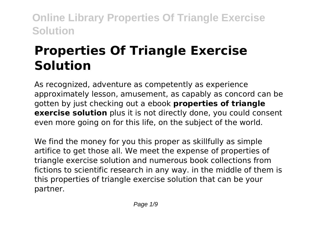# **Properties Of Triangle Exercise Solution**

As recognized, adventure as competently as experience approximately lesson, amusement, as capably as concord can be gotten by just checking out a ebook **properties of triangle exercise solution** plus it is not directly done, you could consent even more going on for this life, on the subject of the world.

We find the money for you this proper as skillfully as simple artifice to get those all. We meet the expense of properties of triangle exercise solution and numerous book collections from fictions to scientific research in any way. in the middle of them is this properties of triangle exercise solution that can be your partner.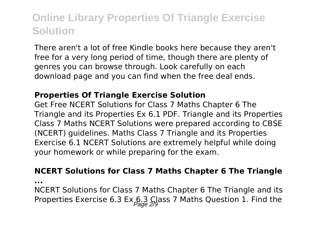There aren't a lot of free Kindle books here because they aren't free for a very long period of time, though there are plenty of genres you can browse through. Look carefully on each download page and you can find when the free deal ends.

### **Properties Of Triangle Exercise Solution**

Get Free NCERT Solutions for Class 7 Maths Chapter 6 The Triangle and its Properties Ex 6.1 PDF. Triangle and its Properties Class 7 Maths NCERT Solutions were prepared according to CBSE (NCERT) guidelines. Maths Class 7 Triangle and its Properties Exercise 6.1 NCERT Solutions are extremely helpful while doing your homework or while preparing for the exam.

### **NCERT Solutions for Class 7 Maths Chapter 6 The Triangle**

**...**

NCERT Solutions for Class 7 Maths Chapter 6 The Triangle and its Properties Exercise 6.3 Ex  $6.3$  Class 7 Maths Question 1. Find the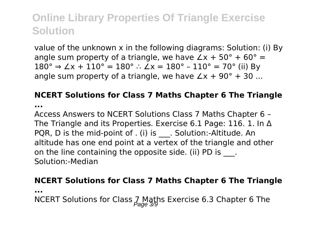value of the unknown x in the following diagrams: Solution: (i) By angle sum property of a triangle, we have  $\angle x + 50^{\circ} + 60^{\circ} =$ 180° ⇒  $\angle x + 110$ ° = 180° ∴  $\angle x = 180$ ° – 110° = 70° (ii) By angle sum property of a triangle, we have  $\angle x + 90^{\circ} + 30$  ...

### **NCERT Solutions for Class 7 Maths Chapter 6 The Triangle**

**...**

Access Answers to NCERT Solutions Class 7 Maths Chapter 6 – The Triangle and its Properties. Exercise 6.1 Page: 116. 1. In Δ PQR, D is the mid-point of . (i) is . Solution:-Altitude. An altitude has one end point at a vertex of the triangle and other on the line containing the opposite side. (ii) PD is ... Solution:-Median

### **NCERT Solutions for Class 7 Maths Chapter 6 The Triangle**

**...**

NCERT Solutions for Class  $\frac{7}{600}$  Maths Exercise 6.3 Chapter 6 The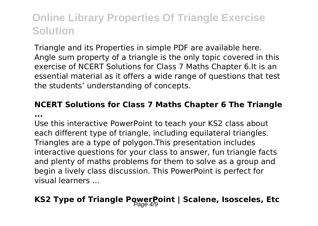Triangle and its Properties in simple PDF are available here. Angle sum property of a triangle is the only topic covered in this exercise of NCERT Solutions for Class 7 Maths Chapter 6.It is an essential material as it offers a wide range of questions that test the students' understanding of concepts.

### **NCERT Solutions for Class 7 Maths Chapter 6 The Triangle ...**

Use this interactive PowerPoint to teach your KS2 class about each different type of triangle, including equilateral triangles. Triangles are a type of polygon.This presentation includes interactive questions for your class to answer, fun triangle facts and plenty of maths problems for them to solve as a group and begin a lively class discussion. This PowerPoint is perfect for visual learners ...

## **KS2 Type of Triangle PowerPoint | Scalene, Isosceles, Etc**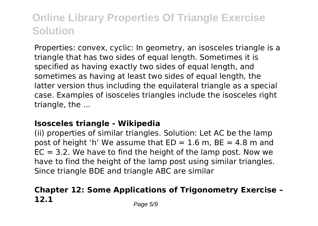Properties: convex, cyclic: In geometry, an isosceles triangle is a triangle that has two sides of equal length. Sometimes it is specified as having exactly two sides of equal length, and sometimes as having at least two sides of equal length, the latter version thus including the equilateral triangle as a special case. Examples of isosceles triangles include the isosceles right triangle, the ...

### **Isosceles triangle - Wikipedia**

(ii) properties of similar triangles. Solution: Let AC be the lamp post of height 'h' We assume that  $ED = 1.6$  m,  $BE = 4.8$  m and  $EC = 3.2$ . We have to find the height of the lamp post. Now we have to find the height of the lamp post using similar triangles. Since triangle BDE and triangle ABC are similar

### **Chapter 12: Some Applications of Trigonometry Exercise – 12.1** Page 5/9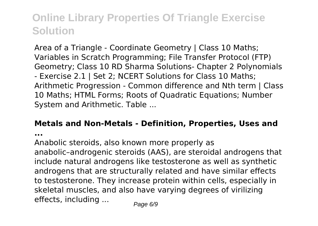Area of a Triangle - Coordinate Geometry | Class 10 Maths; Variables in Scratch Programming; File Transfer Protocol (FTP) Geometry; Class 10 RD Sharma Solutions- Chapter 2 Polynomials - Exercise 2.1 | Set 2; NCERT Solutions for Class 10 Maths; Arithmetic Progression - Common difference and Nth term | Class 10 Maths; HTML Forms; Roots of Quadratic Equations; Number System and Arithmetic. Table ...

#### **Metals and Non-Metals - Definition, Properties, Uses and**

**...**

Anabolic steroids, also known more properly as anabolic–androgenic steroids (AAS), are steroidal androgens that include natural androgens like testosterone as well as synthetic androgens that are structurally related and have similar effects to testosterone. They increase protein within cells, especially in skeletal muscles, and also have varying degrees of virilizing effects, including  $\ldots$  Page 6/9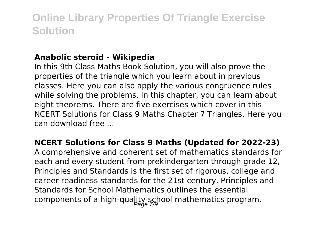### **Anabolic steroid - Wikipedia**

In this 9th Class Maths Book Solution, you will also prove the properties of the triangle which you learn about in previous classes. Here you can also apply the various congruence rules while solving the problems. In this chapter, you can learn about eight theorems. There are five exercises which cover in this NCERT Solutions for Class 9 Maths Chapter 7 Triangles. Here you can download free ...

### **NCERT Solutions for Class 9 Maths (Updated for 2022-23)**

A comprehensive and coherent set of mathematics standards for each and every student from prekindergarten through grade 12, Principles and Standards is the first set of rigorous, college and career readiness standards for the 21st century. Principles and Standards for School Mathematics outlines the essential components of a high-quality school mathematics program.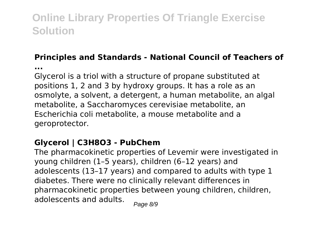### **Principles and Standards - National Council of Teachers of**

**...**

Glycerol is a triol with a structure of propane substituted at positions 1, 2 and 3 by hydroxy groups. It has a role as an osmolyte, a solvent, a detergent, a human metabolite, an algal metabolite, a Saccharomyces cerevisiae metabolite, an Escherichia coli metabolite, a mouse metabolite and a geroprotector.

### **Glycerol | C3H8O3 - PubChem**

The pharmacokinetic properties of Levemir were investigated in young children (1–5 years), children (6–12 years) and adolescents (13–17 years) and compared to adults with type 1 diabetes. There were no clinically relevant differences in pharmacokinetic properties between young children, children, adolescents and adults.  $_{\text{Paqe 8/9}}$